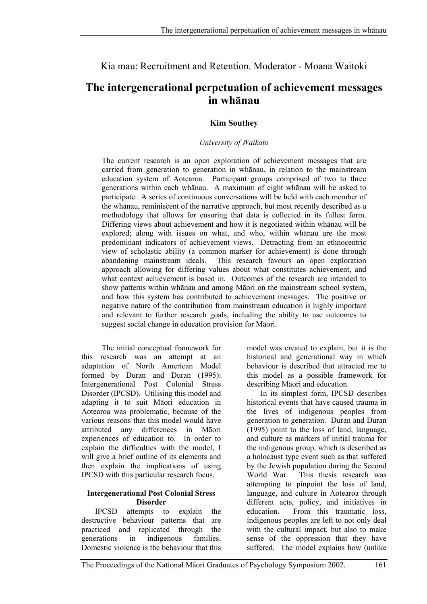## Kia mau: Recruitment and Retention. Moderator - Moana Waitoki

# **The intergenerational perpetuation of achievement messages in whānau**

#### **Kim Southey**

#### *University of Waikato*

The current research is an open exploration of achievement messages that are carried from generation to generation in whānau, in relation to the mainstream education system of Aotearoa. Participant groups comprised of two to three generations within each whānau. A maximum of eight whānau will be asked to participate. A series of continuous conversations will be held with each member of the whānau, reminiscent of the narrative approach, but most recently described as a methodology that allows for ensuring that data is collected in its fullest form. Differing views about achievement and how it is negotiated within whānau will be explored; along with issues on what, and who, within whānau are the most predominant indicators of achievement views. Detracting from an ethnocentric view of scholastic ability (a common marker for achievement) is done through abandoning mainstream ideals. This research favours an open exploration approach allowing for differing values about what constitutes achievement, and what context achievement is based in. Outcomes of the research are intended to show patterns within whānau and among Māori on the mainstream school system, and how this system has contributed to achievement messages. The positive or negative nature of the contribution from mainstream education is highly important and relevant to further research goals, including the ability to use outcomes to suggest social change in education provision for Māori.

The initial conceptual framework for this research was an attempt at an adaptation of North American Model formed by Duran and Duran (1995): Intergenerational Post Colonial Stress Disorder (IPCSD). Utilising this model and adapting it to suit Māori education in Aotearoa was problematic, because of the various reasons that this model would have attributed any differences in Māori experiences of education to. In order to explain the difficulties with the model, I will give a brief outline of its elements and then explain the implications of using IPCSD with this particular research focus.

#### **Intergenerational Post Colonial Stress Disorder**

IPCSD attempts to explain the destructive behaviour patterns that are practiced and replicated through the generations in indigenous families. Domestic violence is the behaviour that this

model was created to explain, but it is the historical and generational way in which behaviour is described that attracted me to this model as a possible framework for describing Māori and education.

In its simplest form, IPCSD describes historical events that have caused trauma in the lives of indigenous peoples from generation to generation. Duran and Duran (1995) point to the loss of land, language, and culture as markers of initial trauma for the indigenous group, which is described as a holocaust type event such as that suffered by the Jewish population during the Second World War. This thesis research was attempting to pinpoint the loss of land, language, and culture in Aotearoa through different acts, policy, and initiatives in education. From this traumatic loss, indigenous peoples are left to not only deal with the cultural impact, but also to make sense of the oppression that they have suffered. The model explains how (unlike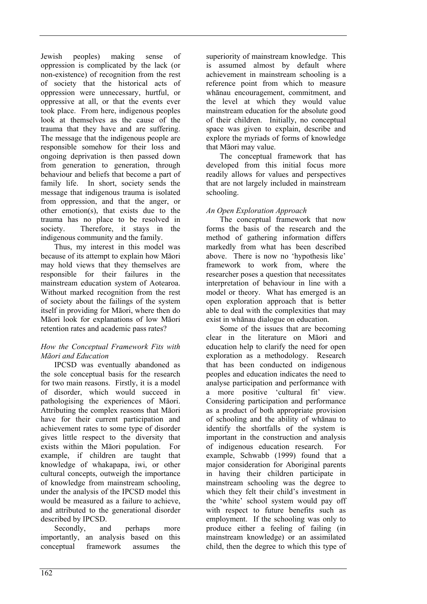Jewish peoples) making sense of oppression is complicated by the lack (or non-existence) of recognition from the rest of society that the historical acts of oppression were unnecessary, hurtful, or oppressive at all, or that the events ever took place. From here, indigenous peoples look at themselves as the cause of the trauma that they have and are suffering. The message that the indigenous people are responsible somehow for their loss and ongoing deprivation is then passed down from generation to generation, through behaviour and beliefs that become a part of family life. In short, society sends the message that indigenous trauma is isolated from oppression, and that the anger, or other emotion(s), that exists due to the trauma has no place to be resolved in society. Therefore, it stays in the indigenous community and the family.

Thus, my interest in this model was because of its attempt to explain how Māori may hold views that they themselves are responsible for their failures in the mainstream education system of Aotearoa. Without marked recognition from the rest of society about the failings of the system itself in providing for Māori, where then do Māori look for explanations of low Māori retention rates and academic pass rates?

#### *How the Conceptual Framework Fits with Māori and Education*

IPCSD was eventually abandoned as the sole conceptual basis for the research for two main reasons. Firstly, it is a model of disorder, which would succeed in pathologising the experiences of Māori. Attributing the complex reasons that Māori have for their current participation and achievement rates to some type of disorder gives little respect to the diversity that exists within the Māori population. For example, if children are taught that knowledge of whakapapa, iwi, or other cultural concepts, outweigh the importance of knowledge from mainstream schooling, under the analysis of the IPCSD model this would be measured as a failure to achieve, and attributed to the generational disorder described by IPCSD.

Secondly, and perhaps more importantly, an analysis based on this conceptual framework assumes the

superiority of mainstream knowledge. This is assumed almost by default where achievement in mainstream schooling is a reference point from which to measure whānau encouragement, commitment, and the level at which they would value mainstream education for the absolute good of their children. Initially, no conceptual space was given to explain, describe and explore the myriads of forms of knowledge that Māori may value.

The conceptual framework that has developed from this initial focus more readily allows for values and perspectives that are not largely included in mainstream schooling.

### *An Open Exploration Approach*

The conceptual framework that now forms the basis of the research and the method of gathering information differs markedly from what has been described above. There is now no 'hypothesis like' framework to work from, where the researcher poses a question that necessitates interpretation of behaviour in line with a model or theory. What has emerged is an open exploration approach that is better able to deal with the complexities that may exist in whānau dialogue on education.

Some of the issues that are becoming clear in the literature on Māori and education help to clarify the need for open exploration as a methodology. Research that has been conducted on indigenous peoples and education indicates the need to analyse participation and performance with a more positive 'cultural fit' view. Considering participation and performance as a product of both appropriate provision of schooling and the ability of whānau to identify the shortfalls of the system is important in the construction and analysis of indigenous education research. For example, Schwabb (1999) found that a major consideration for Aboriginal parents in having their children participate in mainstream schooling was the degree to which they felt their child's investment in the 'white' school system would pay off with respect to future benefits such as employment. If the schooling was only to produce either a feeling of failing (in mainstream knowledge) or an assimilated child, then the degree to which this type of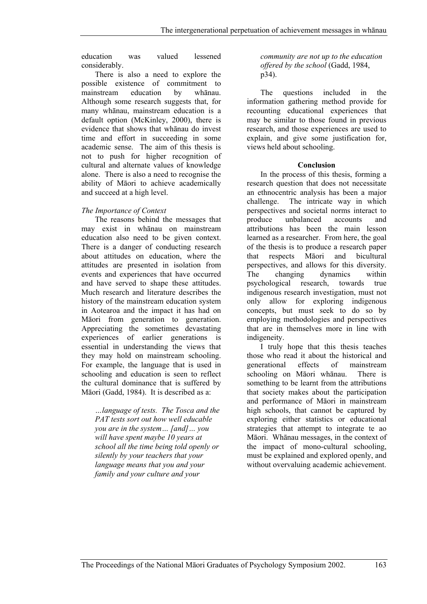education was valued lessened considerably.

There is also a need to explore the possible existence of commitment to mainstream education by whānau. Although some research suggests that, for many whānau, mainstream education is a default option (McKinley, 2000), there is evidence that shows that whānau do invest time and effort in succeeding in some academic sense. The aim of this thesis is not to push for higher recognition of cultural and alternate values of knowledge alone. There is also a need to recognise the ability of Māori to achieve academically and succeed at a high level.

#### *The Importance of Context*

The reasons behind the messages that may exist in whānau on mainstream education also need to be given context. There is a danger of conducting research about attitudes on education, where the attitudes are presented in isolation from events and experiences that have occurred and have served to shape these attitudes. Much research and literature describes the history of the mainstream education system in Aotearoa and the impact it has had on Māori from generation to generation. Appreciating the sometimes devastating experiences of earlier generations is essential in understanding the views that they may hold on mainstream schooling. For example, the language that is used in schooling and education is seen to reflect the cultural dominance that is suffered by Māori (Gadd, 1984). It is described as a:

*…language of tests. The Tosca and the PAT tests sort out how well educable you are in the system… [and]… you will have spent maybe 10 years at school all the time being told openly or silently by your teachers that your language means that you and your family and your culture and your* 

*community are not up to the education offered by the school* (Gadd, 1984, p34).

The questions included in the information gathering method provide for recounting educational experiences that may be similar to those found in previous research, and those experiences are used to explain, and give some justification for, views held about schooling.

#### **Conclusion**

In the process of this thesis, forming a research question that does not necessitate an ethnocentric analysis has been a major challenge. The intricate way in which perspectives and societal norms interact to produce unbalanced accounts and attributions has been the main lesson learned as a researcher. From here, the goal of the thesis is to produce a research paper that respects Māori and bicultural perspectives, and allows for this diversity. The changing dynamics within psychological research, towards true indigenous research investigation, must not only allow for exploring indigenous concepts, but must seek to do so by employing methodologies and perspectives that are in themselves more in line with indigeneity.

I truly hope that this thesis teaches those who read it about the historical and generational effects of mainstream schooling on Māori whānau. There is something to be learnt from the attributions that society makes about the participation and performance of Māori in mainstream high schools, that cannot be captured by exploring either statistics or educational strategies that attempt to integrate te ao Māori. Whānau messages, in the context of the impact of mono-cultural schooling, must be explained and explored openly, and without overvaluing academic achievement.